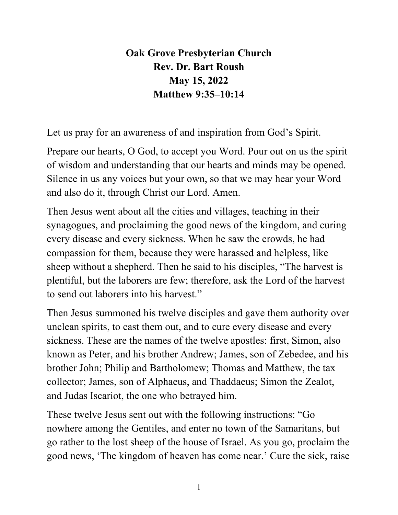## **Oak Grove Presbyterian Church Rev. Dr. Bart Roush May 15, 2022 Matthew 9:35–10:14**

Let us pray for an awareness of and inspiration from God's Spirit.

Prepare our hearts, O God, to accept you Word. Pour out on us the spirit of wisdom and understanding that our hearts and minds may be opened. Silence in us any voices but your own, so that we may hear your Word and also do it, through Christ our Lord. Amen.

Then Jesus went about all the cities and villages, teaching in their synagogues, and proclaiming the good news of the kingdom, and curing every disease and every sickness. When he saw the crowds, he had compassion for them, because they were harassed and helpless, like sheep without a shepherd. Then he said to his disciples, "The harvest is plentiful, but the laborers are few; therefore, ask the Lord of the harvest to send out laborers into his harvest."

Then Jesus summoned his twelve disciples and gave them authority over unclean spirits, to cast them out, and to cure every disease and every sickness. These are the names of the twelve apostles: first, Simon, also known as Peter, and his brother Andrew; James, son of Zebedee, and his brother John; Philip and Bartholomew; Thomas and Matthew, the tax collector; James, son of Alphaeus, and Thaddaeus; Simon the Zealot, and Judas Iscariot, the one who betrayed him.

These twelve Jesus sent out with the following instructions: "Go nowhere among the Gentiles, and enter no town of the Samaritans, but go rather to the lost sheep of the house of Israel. As you go, proclaim the good news, 'The kingdom of heaven has come near.' Cure the sick, raise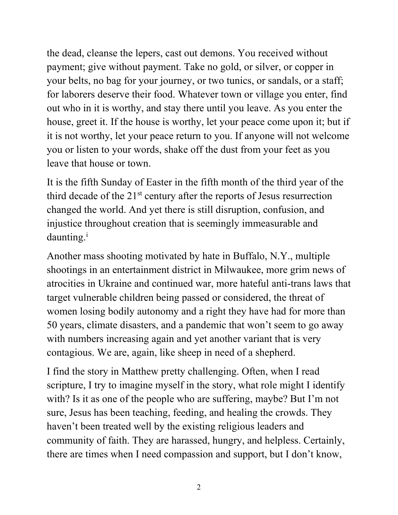the dead, cleanse the lepers, cast out demons. You received without payment; give without payment. Take no gold, or silver, or copper in your belts, no bag for your journey, or two tunics, or sandals, or a staff; for laborers deserve their food. Whatever town or village you enter, find out who in it is worthy, and stay there until you leave. As you enter the house, greet it. If the house is worthy, let your peace come upon it; but if it is not worthy, let your peace return to you. If anyone will not welcome you or listen to your words, shake off the dust from your feet as you leave that house or town.

It is the fifth Sunday of Easter in the fifth month of the third year of the third decade of the  $21<sup>st</sup>$  century after the reports of Jesus resurrection changed the world. And yet there is still disruption, confusion, and injustice throughout creation that is seemingly immeasurable and daunting.<sup>i</sup>

Another mass shooting motivated by hate in Buffalo, N.Y., multiple shootings in an entertainment district in Milwaukee, more grim news of atrocities in Ukraine and continued war, more hateful anti-trans laws that target vulnerable children being passed or considered, the threat of women losing bodily autonomy and a right they have had for more than 50 years, climate disasters, and a pandemic that won't seem to go away with numbers increasing again and yet another variant that is very contagious. We are, again, like sheep in need of a shepherd.

I find the story in Matthew pretty challenging. Often, when I read scripture, I try to imagine myself in the story, what role might I identify with? Is it as one of the people who are suffering, maybe? But I'm not sure, Jesus has been teaching, feeding, and healing the crowds. They haven't been treated well by the existing religious leaders and community of faith. They are harassed, hungry, and helpless. Certainly, there are times when I need compassion and support, but I don't know,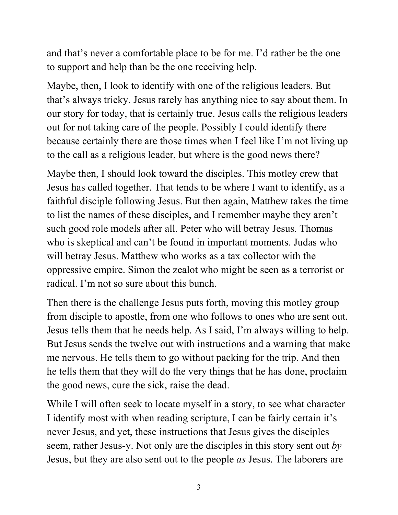and that's never a comfortable place to be for me. I'd rather be the one to support and help than be the one receiving help.

Maybe, then, I look to identify with one of the religious leaders. But that's always tricky. Jesus rarely has anything nice to say about them. In our story for today, that is certainly true. Jesus calls the religious leaders out for not taking care of the people. Possibly I could identify there because certainly there are those times when I feel like I'm not living up to the call as a religious leader, but where is the good news there?

Maybe then, I should look toward the disciples. This motley crew that Jesus has called together. That tends to be where I want to identify, as a faithful disciple following Jesus. But then again, Matthew takes the time to list the names of these disciples, and I remember maybe they aren't such good role models after all. Peter who will betray Jesus. Thomas who is skeptical and can't be found in important moments. Judas who will betray Jesus. Matthew who works as a tax collector with the oppressive empire. Simon the zealot who might be seen as a terrorist or radical. I'm not so sure about this bunch.

Then there is the challenge Jesus puts forth, moving this motley group from disciple to apostle, from one who follows to ones who are sent out. Jesus tells them that he needs help. As I said, I'm always willing to help. But Jesus sends the twelve out with instructions and a warning that make me nervous. He tells them to go without packing for the trip. And then he tells them that they will do the very things that he has done, proclaim the good news, cure the sick, raise the dead.

While I will often seek to locate myself in a story, to see what character I identify most with when reading scripture, I can be fairly certain it's never Jesus, and yet, these instructions that Jesus gives the disciples seem, rather Jesus-y. Not only are the disciples in this story sent out *by* Jesus, but they are also sent out to the people *as* Jesus. The laborers are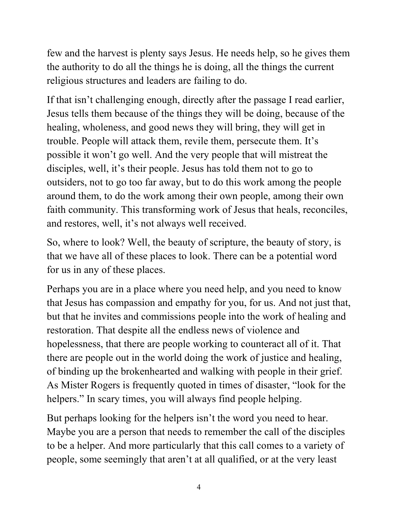few and the harvest is plenty says Jesus. He needs help, so he gives them the authority to do all the things he is doing, all the things the current religious structures and leaders are failing to do.

If that isn't challenging enough, directly after the passage I read earlier, Jesus tells them because of the things they will be doing, because of the healing, wholeness, and good news they will bring, they will get in trouble. People will attack them, revile them, persecute them. It's possible it won't go well. And the very people that will mistreat the disciples, well, it's their people. Jesus has told them not to go to outsiders, not to go too far away, but to do this work among the people around them, to do the work among their own people, among their own faith community. This transforming work of Jesus that heals, reconciles, and restores, well, it's not always well received.

So, where to look? Well, the beauty of scripture, the beauty of story, is that we have all of these places to look. There can be a potential word for us in any of these places.

Perhaps you are in a place where you need help, and you need to know that Jesus has compassion and empathy for you, for us. And not just that, but that he invites and commissions people into the work of healing and restoration. That despite all the endless news of violence and hopelessness, that there are people working to counteract all of it. That there are people out in the world doing the work of justice and healing, of binding up the brokenhearted and walking with people in their grief. As Mister Rogers is frequently quoted in times of disaster, "look for the helpers." In scary times, you will always find people helping.

But perhaps looking for the helpers isn't the word you need to hear. Maybe you are a person that needs to remember the call of the disciples to be a helper. And more particularly that this call comes to a variety of people, some seemingly that aren't at all qualified, or at the very least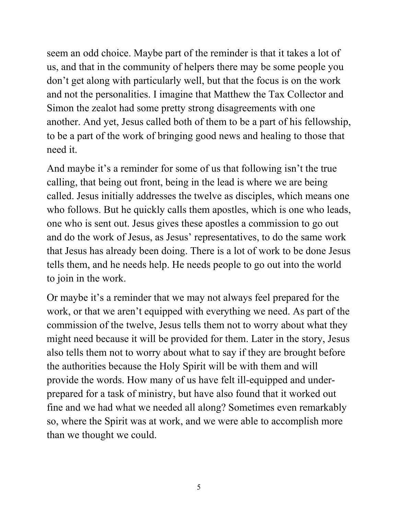seem an odd choice. Maybe part of the reminder is that it takes a lot of us, and that in the community of helpers there may be some people you don't get along with particularly well, but that the focus is on the work and not the personalities. I imagine that Matthew the Tax Collector and Simon the zealot had some pretty strong disagreements with one another. And yet, Jesus called both of them to be a part of his fellowship, to be a part of the work of bringing good news and healing to those that need it.

And maybe it's a reminder for some of us that following isn't the true calling, that being out front, being in the lead is where we are being called. Jesus initially addresses the twelve as disciples, which means one who follows. But he quickly calls them apostles, which is one who leads, one who is sent out. Jesus gives these apostles a commission to go out and do the work of Jesus, as Jesus' representatives, to do the same work that Jesus has already been doing. There is a lot of work to be done Jesus tells them, and he needs help. He needs people to go out into the world to join in the work.

Or maybe it's a reminder that we may not always feel prepared for the work, or that we aren't equipped with everything we need. As part of the commission of the twelve, Jesus tells them not to worry about what they might need because it will be provided for them. Later in the story, Jesus also tells them not to worry about what to say if they are brought before the authorities because the Holy Spirit will be with them and will provide the words. How many of us have felt ill-equipped and underprepared for a task of ministry, but have also found that it worked out fine and we had what we needed all along? Sometimes even remarkably so, where the Spirit was at work, and we were able to accomplish more than we thought we could.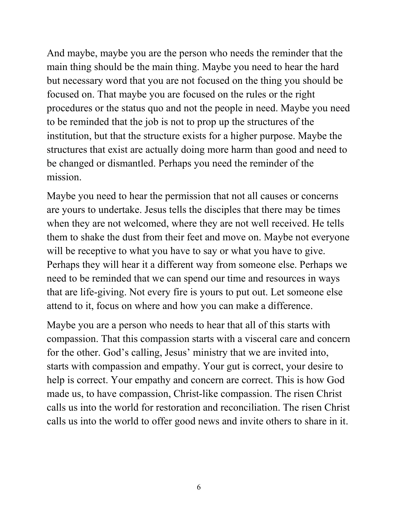And maybe, maybe you are the person who needs the reminder that the main thing should be the main thing. Maybe you need to hear the hard but necessary word that you are not focused on the thing you should be focused on. That maybe you are focused on the rules or the right procedures or the status quo and not the people in need. Maybe you need to be reminded that the job is not to prop up the structures of the institution, but that the structure exists for a higher purpose. Maybe the structures that exist are actually doing more harm than good and need to be changed or dismantled. Perhaps you need the reminder of the mission.

Maybe you need to hear the permission that not all causes or concerns are yours to undertake. Jesus tells the disciples that there may be times when they are not welcomed, where they are not well received. He tells them to shake the dust from their feet and move on. Maybe not everyone will be receptive to what you have to say or what you have to give. Perhaps they will hear it a different way from someone else. Perhaps we need to be reminded that we can spend our time and resources in ways that are life-giving. Not every fire is yours to put out. Let someone else attend to it, focus on where and how you can make a difference.

Maybe you are a person who needs to hear that all of this starts with compassion. That this compassion starts with a visceral care and concern for the other. God's calling, Jesus' ministry that we are invited into, starts with compassion and empathy. Your gut is correct, your desire to help is correct. Your empathy and concern are correct. This is how God made us, to have compassion, Christ-like compassion. The risen Christ calls us into the world for restoration and reconciliation. The risen Christ calls us into the world to offer good news and invite others to share in it.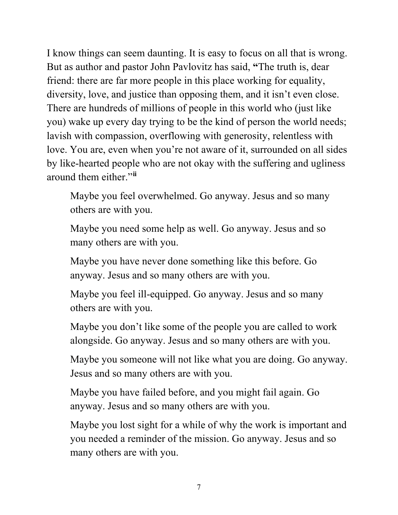I know things can seem daunting. It is easy to focus on all that is wrong. But as author and pastor John Pavlovitz has said, **"**The truth is, dear friend: there are far more people in this place working for equality, diversity, love, and justice than opposing them, and it isn't even close. There are hundreds of millions of people in this world who (just like you) wake up every day trying to be the kind of person the world needs; lavish with compassion, overflowing with generosity, relentless with love. You are, even when you're not aware of it, surrounded on all sides by like-hearted people who are not okay with the suffering and ugliness around them either."**[ii](#page-7-1)**

Maybe you feel overwhelmed. Go anyway. Jesus and so many others are with you.

Maybe you need some help as well. Go anyway. Jesus and so many others are with you.

Maybe you have never done something like this before. Go anyway. Jesus and so many others are with you.

Maybe you feel ill-equipped. Go anyway. Jesus and so many others are with you.

Maybe you don't like some of the people you are called to work alongside. Go anyway. Jesus and so many others are with you.

Maybe you someone will not like what you are doing. Go anyway. Jesus and so many others are with you.

Maybe you have failed before, and you might fail again. Go anyway. Jesus and so many others are with you.

Maybe you lost sight for a while of why the work is important and you needed a reminder of the mission. Go anyway. Jesus and so many others are with you.